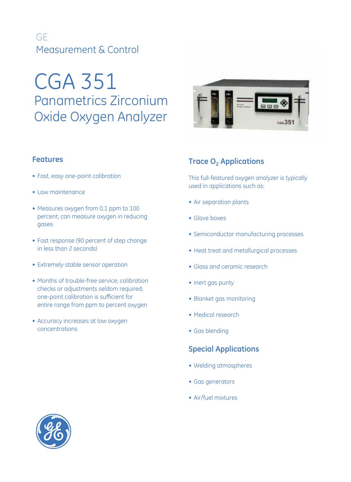## GE Measurement & Control

# CGA 351 Panametrics Zirconium Oxide Oxygen Analyzer

## **Features**

- Fast, easy one-point calibration
- • Low maintenance
- Measures oxygen from 0.1 ppm to 100 percent; can measure oxygen in reducing gases
- Fast response (90 percent of step change in less than 2 seconds)
- Extremely stable sensor operation
- Months of trouble-free service; calibration checks or adjustments seldom required; one-point calibration is sufficient for entire range from ppm to percent oxygen
- Accuracy increases at low oxygen concentrations



## **Trace O<sub>2</sub> Applications**

This full-featured oxygen analyzer is typically used in applications such as:

- Air separation plants
- Glove boxes
- Semiconductor manufacturing processes
- Heat treat and metallurgical processes
- Glass and ceramic research
- Inert gas purity
- Blanket gas monitoring
- • Medical research
- Gas blending

## **Special Applications**

- • Welding atmospheres
- Gas generators
- • Air/fuel mixtures

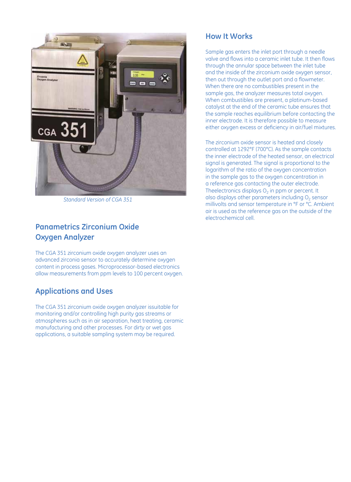

*Standard Version of CGA 351*

## **Panametrics Zirconium Oxide Oxygen Analyzer**

The CGA 351 zirconium oxide oxygen analyzer uses an advanced zirconia sensor to accurately determine oxygen content in process gases. Microprocessor-based electronics allow measurements from ppm levels to 100 percent oxygen.

## **Applications and Uses**

The CGA 351 zirconium oxide oxygen analyzer issuitable for monitoring and/or controlling high purity gas streams or atmospheres such as in air separation, heat treating, ceramic manufacturing and other processes. For dirty or wet gas applications, a suitable sampling system may be required.

## **How It Works**

Sample gas enters the inlet port through a needle valve and flows into a ceramic inlet tube. It then flows through the annular space between the inlet tube and the inside of the zirconium oxide oxygen sensor, then out through the outlet port and a flowmeter. When there are no combustibles present in the sample gas, the analyzer measures total oxygen. When combustibles are present, a platinum-based catalyst at the end of the ceramic tube ensures that the sample reaches equilibrium before contacting the inner electrode. It is therefore possible to measure either oxygen excess or deficiency in air/fuel mixtures.

The zirconium oxide sensor is heated and closely controlled at 1292°F (700°C). As the sample contacts the inner electrode of the heated sensor, an electrical signal is generated. The signal is proportional to the logarithm of the ratio of the oxygen concentration in the sample gas to the oxygen concentration in a reference gas contacting the outer electrode. Theelectronics displays  $O<sub>2</sub>$  in ppm or percent. It also displays other parameters including  $O<sub>2</sub>$  sensor millivolts and sensor temperature in °F or °C. Ambient air is used as the reference gas on the outside of the electrochemical cell.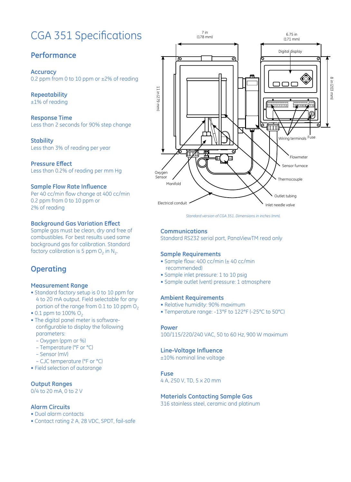# CGA 351 Specifications

## **Performance**

**Accuracy** 0.2 ppm from 0 to 10 ppm or ±2% of reading

**Repeatability** ±1% of reading

**Response Time** Less than 2 seconds for 90% step change

**Stability** Less than 3% of reading per year

**Pressure Effect** Less than 0.2% of reading per mm Hg

#### **Sample Flow Rate Influence**

Per 40 cc/min flow change at 400 cc/min 0.2 ppm from 0 to 10 ppm or 2% of reading

#### **Background Gas Variation Effect**

Sample gas must be clean, dry and free of combustibles. For best results used same background gas for calibration. Standard factory calibration is 5 ppm  $O<sub>2</sub>$  in N<sub>2</sub>.

## **Operating**

#### **Measurement Range**

- Standard factory setup is 0 to 10 ppm for 4 to 20 mA output. Field selectable for any portion of the range from 0.1 to 10 ppm  $O<sub>2</sub>$
- 0.1 ppm to 100%  $O_2$
- The digital panel meter is softwareconfigurable to display the following parameters:
	- Oxygen (ppm or %)
	- Temperature (°F or °C)
	- Sensor (mV)
- CJC temperature (°F or °C)
- Field selection of autorange

#### **Output Ranges**

0/4 to 20 mA, 0 to 2 V

#### **Alarm Circuits**

- Dual alarm contacts
- Contact rating 2 A, 28 VDC, SPDT, fail-safe



*Standard version of CGA 351. Dimensions in inches (mm).*

#### **Communications**

Standard RS232 serial port, PanaViewTM read only

#### **Sample Requirements**

- Sample flow: 400 cc/min (± 40 cc/min recommended)
- Sample inlet pressure: 1 to 10 psig
- Sample outlet (vent) pressure: 1 atmosphere

#### **Ambient Requirements**

- Relative humidity: 90% maximum
- Temperature range: -13°F to 122°F (-25°C to 50°C)

#### **Power**

100/115/220/240 VAC, 50 to 60 Hz, 900 W maximum

#### **Line-Voltage Influence**

±10% nominal line voltage

#### **Fuse**

4 A, 250 V, TD, 5 x 20 mm

#### **Materials Contacting Sample Gas**

316 stainless steel, ceramic and platinum